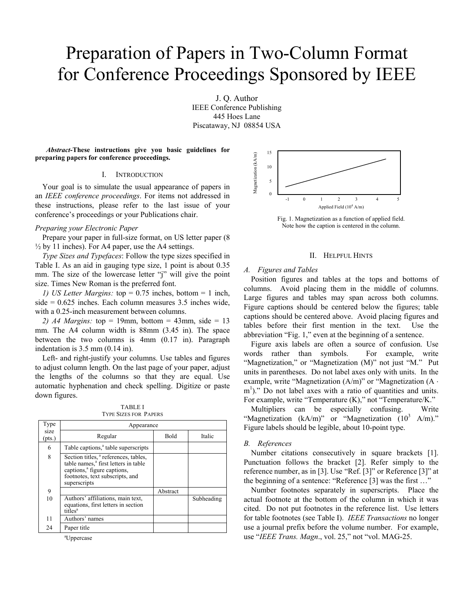# Preparation of Papers in Two-Column Format for Conference Proceedings Sponsored by IEEE

J. Q. Author IEEE Conference Publishing 445 Hoes Lane Piscataway, NJ 08854 USA

*Abstract-***These instructions give you basic guidelines for** *Abstract***-1 nese instructions give you basic guidelines for<br>preparing papers for conference proceedings.** 

### I. INTRODUCTION

Your goal is to simulate the usual appearance of papers in an *IEEE conference proceedings*. For items not addressed in these instructions, please refer to the last issue of your conference's proceedings or your Publications chair.

#### *Preparing your Electronic Paper*

Prepare your paper in full-size format, on US letter paper (8  $\frac{1}{2}$  by 11 inches). For A4 paper, use the A4 settings.

*Type Sizes and Typefaces*: Follow the type sizes specified in Table I. As an aid in gauging type size, 1 point is about 0.35 mm. The size of the lowercase letter "j" will give the point size. Times New Roman is the preferred font.

*1) US Letter Margins:* top = 0.75 inches, bottom = 1 inch, side = 0.625 inches. Each column measures 3.5 inches wide, with a 0.25-inch measurement between columns.

*2) A4 Margins:* top = 19mm, bottom = 43mm, side = 13 mm. The A4 column width is 88mm (3.45 in). The space between the two columns is 4mm (0.17 in). Paragraph indentation is 3.5 mm (0.14 in).

Left- and right-justify your columns. Use tables and figures to adjust column length. On the last page of your paper, adjust the lengths of the columns so that they are equal. Use automatic hyphenation and check spelling. Digitize or paste down figures.

TABLE I TYPE SIZES FOR PAPERS

| Type           | Appearance                                                                                                                                                                                         |          |            |
|----------------|----------------------------------------------------------------------------------------------------------------------------------------------------------------------------------------------------|----------|------------|
| size<br>(pts.) | Regular                                                                                                                                                                                            | Bold     | Italic     |
| 6              | Table captions, <sup>a</sup> table superscripts                                                                                                                                                    |          |            |
| 8              | Section titles, <sup>a</sup> references, tables,<br>table names, <sup>a</sup> first letters in table<br>captions, <sup>a</sup> figure captions,<br>footnotes, text subscripts, and<br>superscripts |          |            |
| 9              |                                                                                                                                                                                                    | Abstract |            |
| 10             | Authors' affiliations, main text,<br>equations, first letters in section<br>titles <sup>a</sup>                                                                                                    |          | Subheading |
| 11             | Authors' names                                                                                                                                                                                     |          |            |
| 24             | Paper title                                                                                                                                                                                        |          |            |

a Uppercase



Fig. 1. Magnetization as a function of applied field. Note how the caption is centered in the column.

# II. HELPFUL HINTS

#### *A. Figures and Tables*

Position figures and tables at the tops and bottoms of columns. Avoid placing them in the middle of columns. Large figures and tables may span across both columns. Figure captions should be centered below the figures; table captions should be centered above. Avoid placing figures and tables before their first mention in the text. Use the abbreviation "Fig. 1," even at the beginning of a sentence.

Figure axis labels are often a source of confusion. Use words rather than symbols. For example, write "Magnetization," or "Magnetization (M)" not just "M." Put units in parentheses. Do not label axes only with units. In the example, write "Magnetization (A/m)" or "Magnetization (A ⋅ m<sup>1</sup>)." Do not label axes with a ratio of quantities and units. For example, write "Temperature (K)," not "Temperature/K."

Multipliers can be especially confusing. Write "Magnetization  $(kA/m)$ " or "Magnetization  $(10^3 \text{ A/m})$ ." Figure labels should be legible, about 10-point type.

### *B. References*

Number citations consecutively in square brackets [1]. Punctuation follows the bracket [2]. Refer simply to the reference number, as in [3]. Use "Ref. [3]" or Reference [3]" at the beginning of a sentence: "Reference [3] was the first ..."

Number footnotes separately in superscripts. Place the actual footnote at the bottom of the column in which it was cited. Do not put footnotes in the reference list. Use letters for table footnotes (see Table I). *IEEE Transactions* no longer use a journal prefix before the volume number. For example, use "*IEEE Trans. Magn*., vol. 25," not "vol. MAG-25.